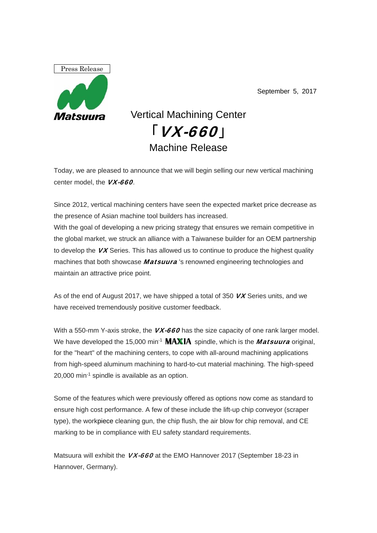

September 5, 2017

## Vertical Machining Center  $\lceil$  *VX-660* Machine Release

Today, we are pleased to announce that we will begin selling our new vertical machining center model, the **VX-660**.

Since 2012, vertical machining centers have seen the expected market price decrease as the presence of Asian machine tool builders has increased. With the goal of developing a new pricing strategy that ensures we remain competitive in the global market, we struck an alliance with a Taiwanese builder for an OEM partnership to develop the  $V\!X$  Series. This has allowed us to continue to produce the highest quality machines that both showcase *Matsuura* 's renowned engineering technologies and maintain an attractive price point.

As of the end of August 2017, we have shipped a total of 350  $V\chi$  Series units, and we have received tremendously positive customer feedback.

With a 550-mm Y-axis stroke, the  $VX-660$  has the size capacity of one rank larger model. We have developed the 15,000 min<sup>-1</sup>  $MAXIA$  spindle, which is the *Matsuura* original, for the "heart" of the machining centers, to cope with all-around machining applications from high-speed aluminum machining to hard-to-cut material machining. The high-speed 20,000 min-1 spindle is available as an option.

Some of the features which were previously offered as options now come as standard to ensure high cost performance. A few of these include the lift-up chip conveyor (scraper type), the workpiece cleaning gun, the chip flush, the air blow for chip removal, and CE marking to be in compliance with EU safety standard requirements.

Matsuura will exhibit the **VX-660** at the EMO Hannover 2017 (September 18-23 in Hannover, Germany).